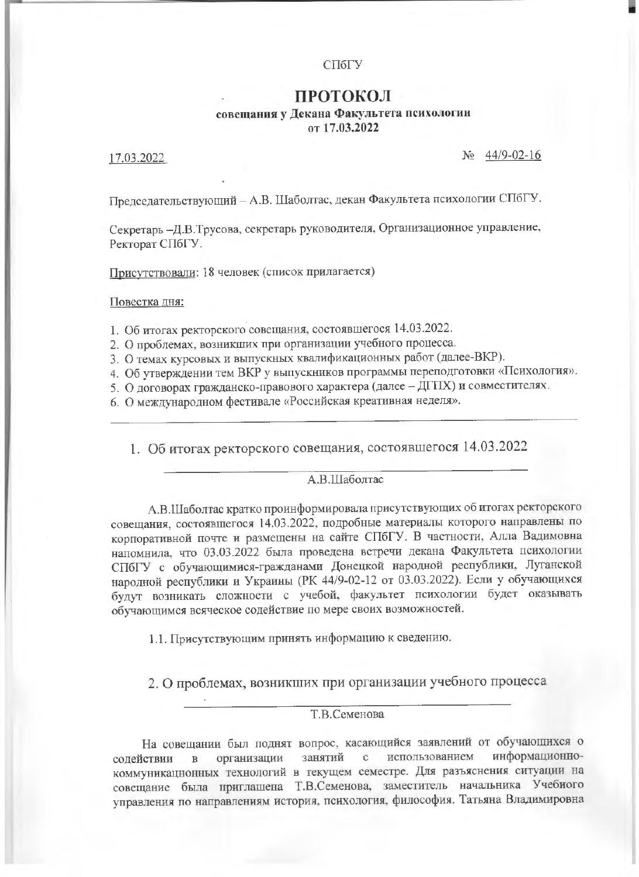#### СПбГУ

## ПРОТОКОЛ совещания у Декана Факультета психологии от 17.03.2022

17.03.2022

No 44/9-02-16

Председательствующий - А.В. Шаболтас, декан Факультета психологии СПбГУ.

Секретарь -Д.В.Трусова, секретарь руководителя, Организационное управление, Ректорат СПбГУ.

Присутствовали: 18 человек (список прилагается)

Повестка дня:

1. Об итогах ректорского совещания, состоявшегося 14.03.2022.

2. О проблемах, возникших при организации учебного процесса.

3. О темах курсовых и выпускных квалификационных работ (далее-ВКР).

4. Об утверждении тем ВКР у выпускников программы переподготовки «Психология».

5. О договорах гражданско-правового характера (далее - ДГПХ) и совместителях.

6. О международном фестивале «Российская креативная неделя».

1. Об итогах ректорского совещания, состоявшегося 14.03.2022

#### А.В.Шаболтас

А.В.Шаболтас кратко проинформировала присутствующих об итогах ректорского совещания, состоявшегося 14.03.2022, подробные материалы которого направлены по корпоративной почте и размещены на сайте СПбГУ. В частности, Алла Вадимовна напомнила, что 03.03.2022 была проведена встречи декана Факультета психологии СПбГУ с обучающимися-гражданами Донецкой народной республики, Луганской народной республики и Украины (РК 44/9-02-12 от 03.03.2022). Если у обучающихся будут возникать сложности с учебой, факультет психологии будет оказывать обучающимся всяческое содействие по мере своих возможностей.

1.1. Присутствующим принять информацию к сведению.

2. О проблемах, возникших при организации учебного процесса

### **Т.В.Семенова**

На совещании был поднят вопрос, касающийся заявлений от обучающихся о информационноорганизации занятий использованием  $\mathbf{c}$ содействии  $\, {\bf B}$ коммуникационных технологий в текущем семестре. Для разъяснения ситуации на совещание была приглашена Т.В.Семенова, заместитель начальника Учебиого управления по направлениям история, психология, философия. Татьяна Владимировна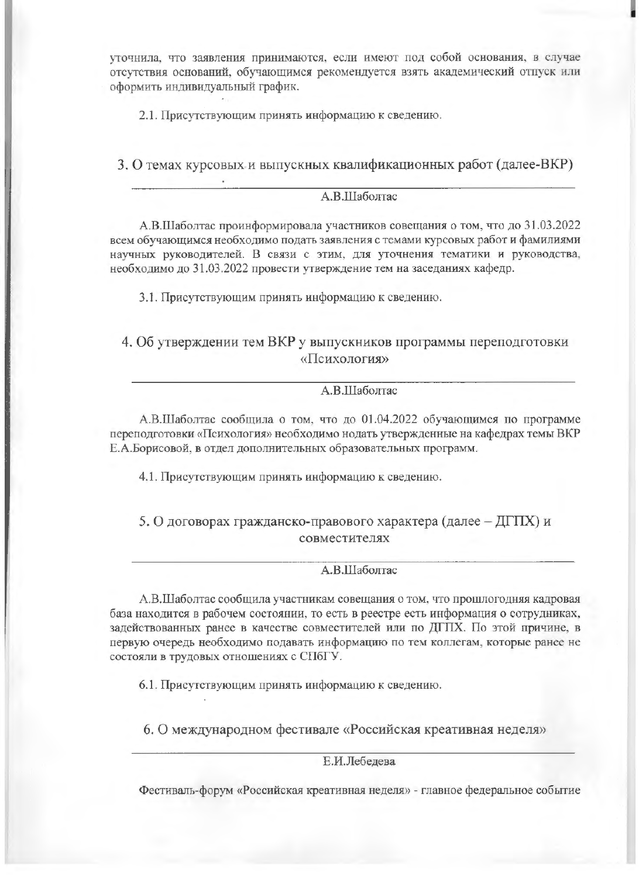уточнила, что заявления принимаются, если имеют под собой основания, в случае отсутствия оснований, обучающимся рекомендуется взять академический отпуск или оформить индивидуальный график.

2.1. Присутствующим принять информацию к сведению.

3. О темах курсовых и выпускных квалификационных работ (далее-ВКР)

### A.B.IIIаболтас

А.В.Шаболтас проинформировала участников совещания о том, что до 31.03.2022 всем обучающимся необходимо подать заявления с темами курсовых работ и фамилиями научных руководителей. В связи с этим, для уточнения тематики и руководства, необходимо до 31.03.2022 провести утверждение тем на заседаниях кафедр.

3.1. Присутствующим принять информацию к сведению.

# 4. Об утверждении тем ВКР у выпускников программы переподготовки «Психология»

#### А.В.Шаболтас

А.В.Шаболтас сообщила о том, что до 01.04.2022 обучающимся по программе переподготовки «Психология» необходимо нодать утвержденные на кафедрах темы ВКР Е.А.Борисовой, в отдел дополнительных образовательных программ.

4.1. Присутствующим принять информацию к сведению.

# 5. О договорах гражданско-правового характера (далее - ДГПХ) и совместителях

### А.В.Шаболтас

А.В.Шаболтас сообщила участникам совещания о том, что прошлогодняя кадровая база находится в рабочем состоянии, то есть в реестре есть информация о сотрудниках, задействованных ранее в качестве совместителей или по ДГПХ. По этой причине, в первую очередь необходимо подавать информацию по тем коллегам, которые ранее не состояли в трудовых отношениях с СПбГУ.

6.1. Присутствующим принять информацию к сведению.

6. О международном фестивале «Российская креативная неделя»

Е.И.Лебелева

Фестиваль-форум «Российская креативная неделя» - главное федеральное событие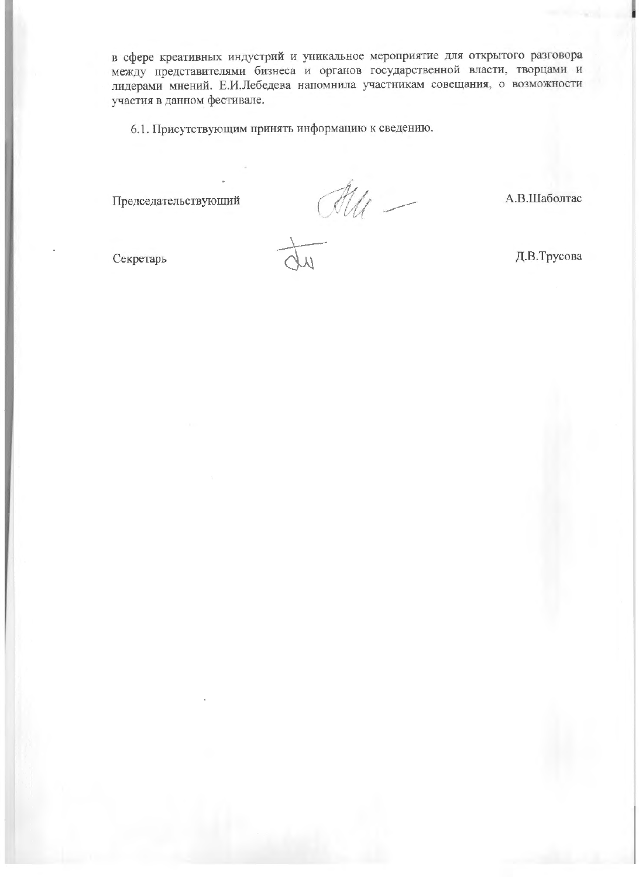в сфере креативных индустрий и уникальное мероприятие для открытого разговора между представителями бизнеса и органов государственной власти, творцами и лидерами мнений. Е.И.Лебедева напомнила участникам совещания, о возможности участия в данном фестивале.

6.1. Присутствующим принять информацию к сведению.

Председательствующий

 $\frac{du}{dt}$ 

А.В.Шаболтас

Секретарь

Д.В.Трусова